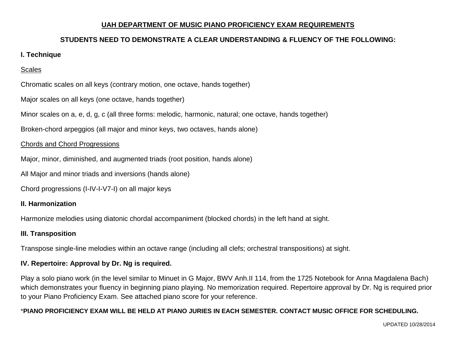#### **UAH DEPARTMENT OF MUSIC PIANO PROFICIENCY EXAM REQUIREMENTS**

# **STUDENTS NEED TO DEMONSTRATE A CLEAR UNDERSTANDING & FLUENCY OF THE FOLLOWING:**

#### **I. Technique**

### **Scales**

Chromatic scales on all keys (contrary motion, one octave, hands together)

Major scales on all keys (one octave, hands together)

Minor scales on a, e, d, g, c (all three forms: melodic, harmonic, natural; one octave, hands together)

Broken-chord arpeggios (all major and minor keys, two octaves, hands alone)

#### Chords and Chord Progressions

Major, minor, diminished, and augmented triads (root position, hands alone)

All Major and minor triads and inversions (hands alone)

Chord progressions (I-IV-I-V7-I) on all major keys

## **II. Harmonization**

Harmonize melodies using diatonic chordal accompaniment (blocked chords) in the left hand at sight.

#### **III. Transposition**

Transpose single-line melodies within an octave range (including all clefs; orchestral transpositions) at sight.

## **IV. Repertoire: Approval by Dr. Ng is required.**

Play a solo piano work (in the level similar to Minuet in G Major, BWV Anh.II 114, from the 1725 Notebook for Anna Magdalena Bach) which demonstrates your fluency in beginning piano playing. No memorization required. Repertoire approval by Dr. Ng is required prior to your Piano Proficiency Exam. See attached piano score for your reference.

#### \***PIANO PROFICIENCY EXAM WILL BE HELD AT PIANO JURIES IN EACH SEMESTER. CONTACT MUSIC OFFICE FOR SCHEDULING.**